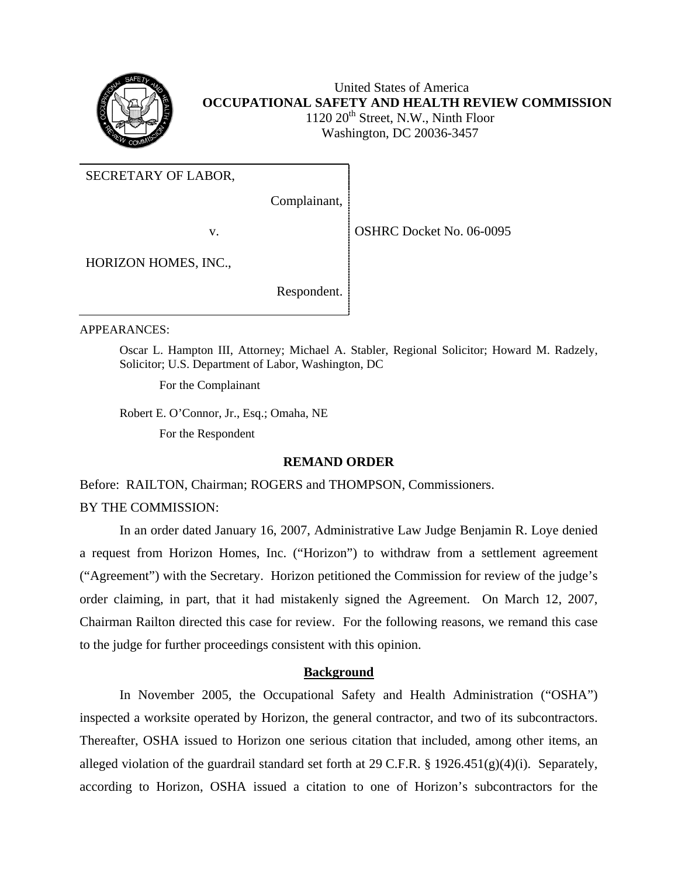

 United States of America **OCCUPATIONAL SAFETY AND HEALTH REVIEW COMMISSION**  1120 20<sup>th</sup> Street, N.W., Ninth Floor Washington, DC 20036-3457

SECRETARY OF LABOR,

Complainant,

v.

OSHRC Docket No. 06-0095

HORIZON HOMES, INC.,

Respondent.

APPEARANCES:

Oscar L. Hampton III, Attorney; Michael A. Stabler, Regional Solicitor; Howard M. Radzely, Solicitor; U.S. Department of Labor, Washington, DC

For the Complainant

Robert E. O'Connor, Jr., Esq.; Omaha, NE

For the Respondent

## **REMAND ORDER**

Before: RAILTON, Chairman; ROGERS and THOMPSON, Commissioners.

BY THE COMMISSION:

In an order dated January 16, 2007, Administrative Law Judge Benjamin R. Loye denied a request from Horizon Homes, Inc. ("Horizon") to withdraw from a settlement agreement ("Agreement") with the Secretary. Horizon petitioned the Commission for review of the judge's order claiming, in part, that it had mistakenly signed the Agreement. On March 12, 2007, Chairman Railton directed this case for review. For the following reasons, we remand this case to the judge for further proceedings consistent with this opinion.

## **Background**

In November 2005, the Occupational Safety and Health Administration ("OSHA") inspected a worksite operated by Horizon, the general contractor, and two of its subcontractors. Thereafter, OSHA issued to Horizon one serious citation that included, among other items, an alleged violation of the guardrail standard set forth at 29 C.F.R. § 1926.451(g)(4)(i). Separately, according to Horizon, OSHA issued a citation to one of Horizon's subcontractors for the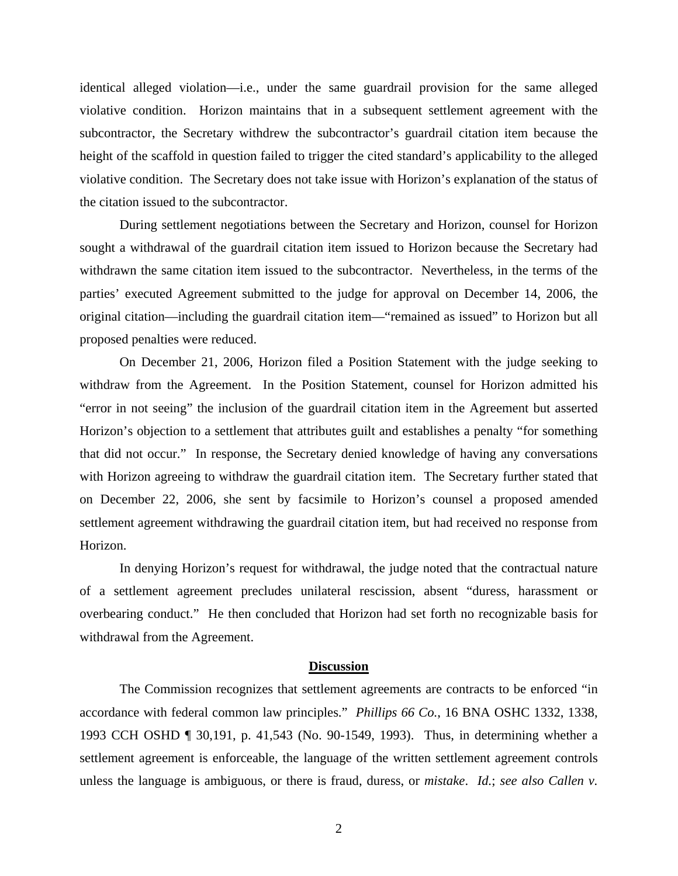identical alleged violation—i.e., under the same guardrail provision for the same alleged violative condition. Horizon maintains that in a subsequent settlement agreement with the subcontractor, the Secretary withdrew the subcontractor's guardrail citation item because the height of the scaffold in question failed to trigger the cited standard's applicability to the alleged violative condition. The Secretary does not take issue with Horizon's explanation of the status of the citation issued to the subcontractor.

During settlement negotiations between the Secretary and Horizon, counsel for Horizon sought a withdrawal of the guardrail citation item issued to Horizon because the Secretary had withdrawn the same citation item issued to the subcontractor. Nevertheless, in the terms of the parties' executed Agreement submitted to the judge for approval on December 14, 2006, the original citation—including the guardrail citation item—"remained as issued" to Horizon but all proposed penalties were reduced.

On December 21, 2006, Horizon filed a Position Statement with the judge seeking to withdraw from the Agreement. In the Position Statement, counsel for Horizon admitted his "error in not seeing" the inclusion of the guardrail citation item in the Agreement but asserted Horizon's objection to a settlement that attributes guilt and establishes a penalty "for something that did not occur." In response, the Secretary denied knowledge of having any conversations with Horizon agreeing to withdraw the guardrail citation item. The Secretary further stated that on December 22, 2006, she sent by facsimile to Horizon's counsel a proposed amended settlement agreement withdrawing the guardrail citation item, but had received no response from Horizon.

In denying Horizon's request for withdrawal, the judge noted that the contractual nature of a settlement agreement precludes unilateral rescission, absent "duress, harassment or overbearing conduct." He then concluded that Horizon had set forth no recognizable basis for withdrawal from the Agreement.

## **Discussion**

The Commission recognizes that settlement agreements are contracts to be enforced "in accordance with federal common law principles." *Phillips 66 Co.*, 16 BNA OSHC 1332, 1338, 1993 CCH OSHD ¶ 30,191, p. 41,543 (No. 90-1549, 1993). Thus, in determining whether a settlement agreement is enforceable, the language of the written settlement agreement controls unless the language is ambiguous, or there is fraud, duress, or *mistake*. *Id.*; *see also Callen v.*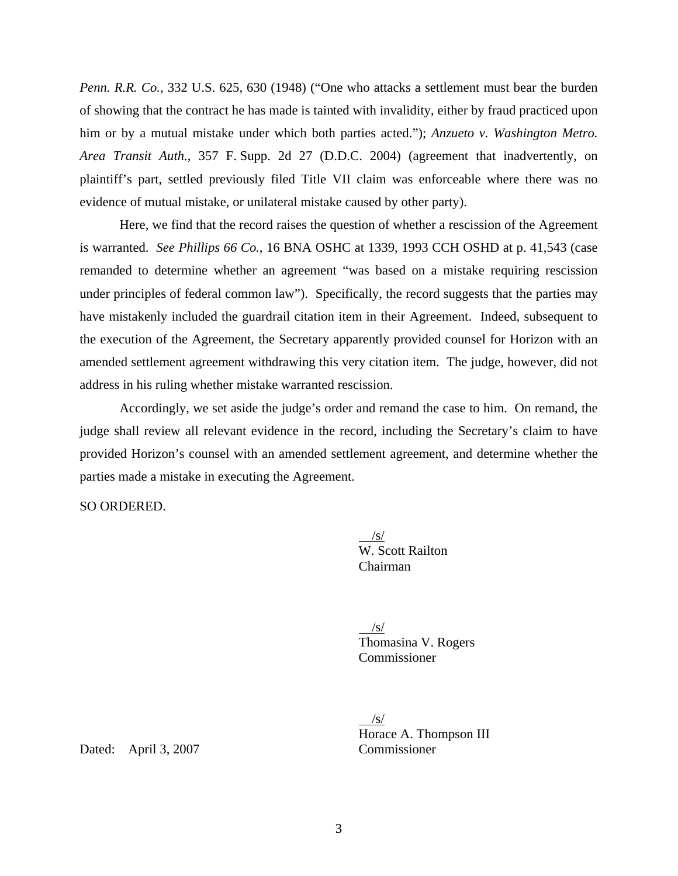*Penn. R.R. Co.*, 332 U.S. 625, 630 (1948) ("One who attacks a settlement must bear the burden of showing that the contract he has made is tainted with invalidity, either by fraud practiced upon him or by a mutual mistake under which both parties acted."); *Anzueto v. Washington Metro. Area Transit Auth.*, 357 F. Supp. 2d 27 (D.D.C. 2004) (agreement that inadvertently, on plaintiff's part, settled previously filed Title VII claim was enforceable where there was no evidence of mutual mistake, or unilateral mistake caused by other party).

Here, we find that the record raises the question of whether a rescission of the Agreement is warranted. *See Phillips 66 Co.*, 16 BNA OSHC at 1339, 1993 CCH OSHD at p. 41,543 (case remanded to determine whether an agreement "was based on a mistake requiring rescission under principles of federal common law"). Specifically, the record suggests that the parties may have mistakenly included the guardrail citation item in their Agreement. Indeed, subsequent to the execution of the Agreement, the Secretary apparently provided counsel for Horizon with an amended settlement agreement withdrawing this very citation item. The judge, however, did not address in his ruling whether mistake warranted rescission.

Accordingly, we set aside the judge's order and remand the case to him. On remand, the judge shall review all relevant evidence in the record, including the Secretary's claim to have provided Horizon's counsel with an amended settlement agreement, and determine whether the parties made a mistake in executing the Agreement.

SO ORDERED.

 $\sqrt{s/}$ W. Scott Railton Chairman

> $\sqrt{s}$  Thomasina V. Rogers Commissioner

/s/ Horace A. Thompson III

Dated: April 3, 2007 Commissioner